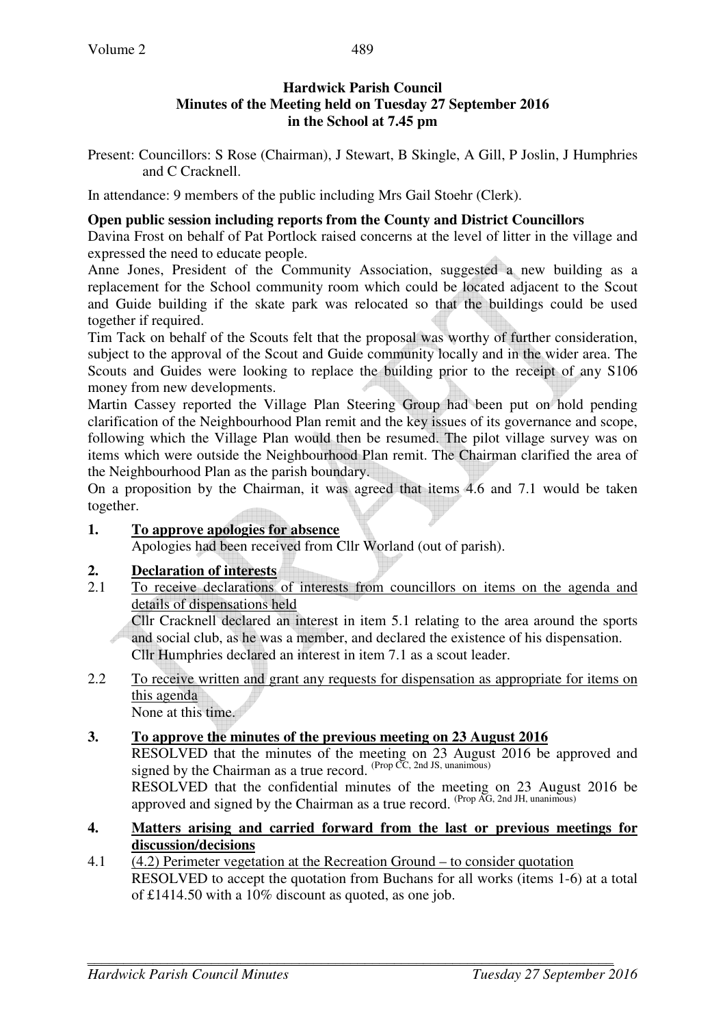## **Hardwick Parish Council Minutes of the Meeting held on Tuesday 27 September 2016 in the School at 7.45 pm**

Present: Councillors: S Rose (Chairman), J Stewart, B Skingle, A Gill, P Joslin, J Humphries and C Cracknell.

In attendance: 9 members of the public including Mrs Gail Stoehr (Clerk).

#### **Open public session including reports from the County and District Councillors**

Davina Frost on behalf of Pat Portlock raised concerns at the level of litter in the village and expressed the need to educate people.

Anne Jones, President of the Community Association, suggested a new building as a replacement for the School community room which could be located adjacent to the Scout and Guide building if the skate park was relocated so that the buildings could be used together if required.

Tim Tack on behalf of the Scouts felt that the proposal was worthy of further consideration, subject to the approval of the Scout and Guide community locally and in the wider area. The Scouts and Guides were looking to replace the building prior to the receipt of any S106 money from new developments.

Martin Cassey reported the Village Plan Steering Group had been put on hold pending clarification of the Neighbourhood Plan remit and the key issues of its governance and scope, following which the Village Plan would then be resumed. The pilot village survey was on items which were outside the Neighbourhood Plan remit. The Chairman clarified the area of the Neighbourhood Plan as the parish boundary.

On a proposition by the Chairman, it was agreed that items 4.6 and 7.1 would be taken together.

### **1. To approve apologies for absence**

Apologies had been received from Cllr Worland (out of parish).

### **2. Declaration of interests**

2.1 To receive declarations of interests from councillors on items on the agenda and details of dispensations held

Cllr Cracknell declared an interest in item 5.1 relating to the area around the sports and social club, as he was a member, and declared the existence of his dispensation. Cllr Humphries declared an interest in item 7.1 as a scout leader.

2.2 To receive written and grant any requests for dispensation as appropriate for items on this agenda

None at this time.

## **3. To approve the minutes of the previous meeting on 23 August 2016**

RESOLVED that the minutes of the meeting on 23 August 2016 be approved and signed by the Chairman as a true record.  $^{(Prop \, CC, 2nd \, JS, \, unanimous)}$ 

RESOLVED that the confidential minutes of the meeting on 23 August 2016 be approved and signed by the Chairman as a true record.  $^{(Prop\,\widehat{AG},\,2nd\,JH,\,unanimous)}$ 

### **4. Matters arising and carried forward from the last or previous meetings for discussion/decisions**

4.1 (4.2) Perimeter vegetation at the Recreation Ground – to consider quotation RESOLVED to accept the quotation from Buchans for all works (items 1-6) at a total of £1414.50 with a 10% discount as quoted, as one job.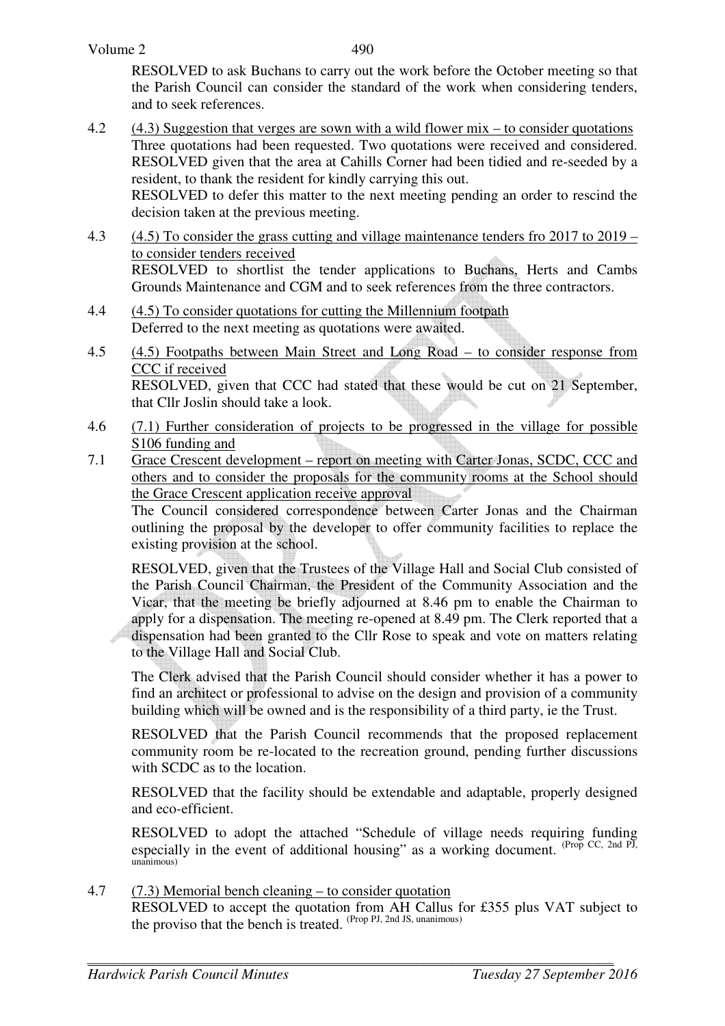RESOLVED to ask Buchans to carry out the work before the October meeting so that the Parish Council can consider the standard of the work when considering tenders, and to seek references.

4.2 (4.3) Suggestion that verges are sown with a wild flower mix – to consider quotations Three quotations had been requested. Two quotations were received and considered. RESOLVED given that the area at Cahills Corner had been tidied and re-seeded by a resident, to thank the resident for kindly carrying this out.

RESOLVED to defer this matter to the next meeting pending an order to rescind the decision taken at the previous meeting.

- 4.3 (4.5) To consider the grass cutting and village maintenance tenders fro 2017 to 2019 to consider tenders received RESOLVED to shortlist the tender applications to Buchans, Herts and Cambs Grounds Maintenance and CGM and to seek references from the three contractors.
- 4.4 (4.5) To consider quotations for cutting the Millennium footpath Deferred to the next meeting as quotations were awaited.
- 4.5 (4.5) Footpaths between Main Street and Long Road to consider response from CCC if received RESOLVED, given that CCC had stated that these would be cut on 21 September, that Cllr Joslin should take a look.
- 4.6 (7.1) Further consideration of projects to be progressed in the village for possible S106 funding and
- 7.1 Grace Crescent development report on meeting with Carter Jonas, SCDC, CCC and others and to consider the proposals for the community rooms at the School should the Grace Crescent application receive approval

 The Council considered correspondence between Carter Jonas and the Chairman outlining the proposal by the developer to offer community facilities to replace the existing provision at the school.

 RESOLVED, given that the Trustees of the Village Hall and Social Club consisted of the Parish Council Chairman, the President of the Community Association and the Vicar, that the meeting be briefly adjourned at 8.46 pm to enable the Chairman to apply for a dispensation. The meeting re-opened at 8.49 pm. The Clerk reported that a dispensation had been granted to the Cllr Rose to speak and vote on matters relating to the Village Hall and Social Club.

 The Clerk advised that the Parish Council should consider whether it has a power to find an architect or professional to advise on the design and provision of a community building which will be owned and is the responsibility of a third party, ie the Trust.

 RESOLVED that the Parish Council recommends that the proposed replacement community room be re-located to the recreation ground, pending further discussions with SCDC as to the location.

RESOLVED that the facility should be extendable and adaptable, properly designed and eco-efficient.

 RESOLVED to adopt the attached "Schedule of village needs requiring funding especially in the event of additional housing" as a working document.  $(\text{Prop CC, 2nd PI})$ unanimous)

4.7 (7.3) Memorial bench cleaning – to consider quotation

 RESOLVED to accept the quotation from AH Callus for £355 plus VAT subject to the proviso that the bench is treated. (Prop PJ, 2nd JS, unanimous)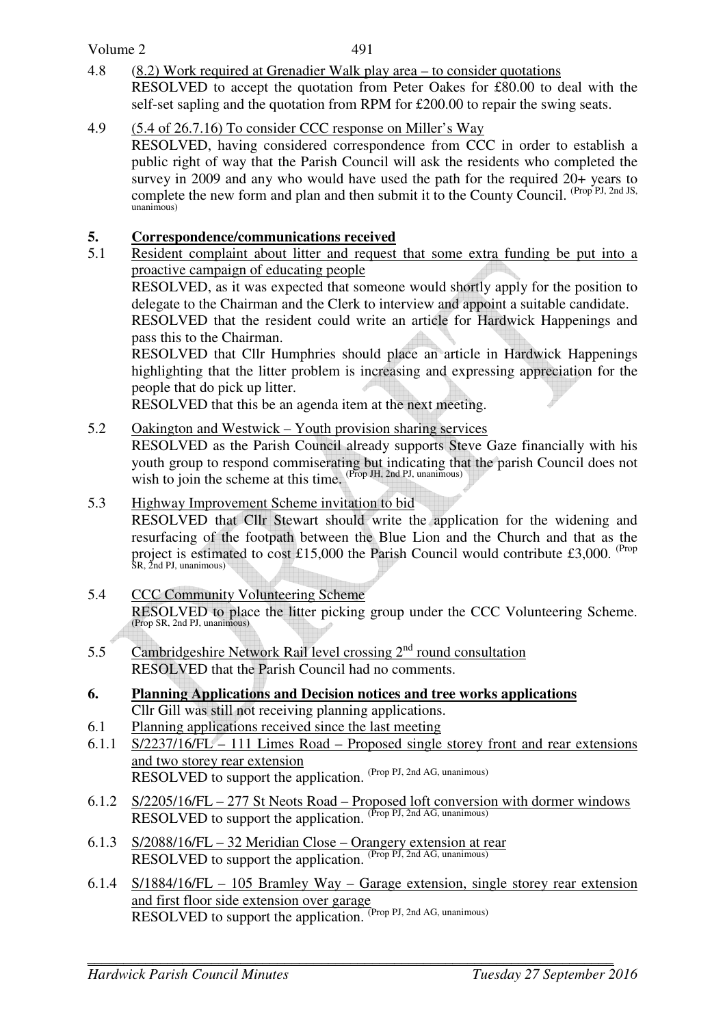### Volume 2

- 4.8 (8.2) Work required at Grenadier Walk play area to consider quotations RESOLVED to accept the quotation from Peter Oakes for £80.00 to deal with the self-set sapling and the quotation from RPM for £200.00 to repair the swing seats.
- 4.9 (5.4 of 26.7.16) To consider CCC response on Miller's Way
	- RESOLVED, having considered correspondence from CCC in order to establish a public right of way that the Parish Council will ask the residents who completed the survey in 2009 and any who would have used the path for the required 20+ years to complete the new form and plan and then submit it to the County Council. (Prop PJ, 2nd JS, unanimous)

# **5.** Correspondence/communications received<br>5.1 Resident complaint about litter and request

5.1 Resident complaint about litter and request that some extra funding be put into a proactive campaign of educating people

 RESOLVED, as it was expected that someone would shortly apply for the position to delegate to the Chairman and the Clerk to interview and appoint a suitable candidate.

RESOLVED that the resident could write an article for Hardwick Happenings and pass this to the Chairman.

RESOLVED that Cllr Humphries should place an article in Hardwick Happenings highlighting that the litter problem is increasing and expressing appreciation for the people that do pick up litter.

RESOLVED that this be an agenda item at the next meeting.

5.2 Oakington and Westwick – Youth provision sharing services

RESOLVED as the Parish Council already supports Steve Gaze financially with his youth group to respond commiserating but indicating that the parish Council does not wish to join the scheme at this time. (Prop JH, 2nd PJ, unanimous)

5.3 Highway Improvement Scheme invitation to bid

RESOLVED that Cllr Stewart should write the application for the widening and resurfacing of the footpath between the Blue Lion and the Church and that as the project is estimated to cost £15,000 the Parish Council would contribute £3,000. <sup>(Prop</sup> SR, 2nd PJ, unanimous)

- 5.4 CCC Community Volunteering Scheme RESOLVED to place the litter picking group under the CCC Volunteering Scheme. (Prop SR, 2nd PJ, unanimous)
- 5.5 Cambridgeshire Network Rail level crossing  $2<sup>nd</sup>$  round consultation RESOLVED that the Parish Council had no comments.
- **6. Planning Applications and Decision notices and tree works applications** Cllr Gill was still not receiving planning applications.
- 6.1 Planning applications received since the last meeting
- 6.1.1 S/2237/16/FL 111 Limes Road Proposed single storey front and rear extensions and two storey rear extension RESOLVED to support the application. (Prop PJ, 2nd AG, unanimous)
- 6.1.2 S/2205/16/FL 277 St Neots Road Proposed loft conversion with dormer windows RESOLVED to support the application.  $(Prop\,PI, 2nd\,AG, unanimous)$
- 6.1.3 S/2088/16/FL 32 Meridian Close Orangery extension at rear RESOLVED to support the application. (Prop PJ, 2nd AG, unanimous)
- 6.1.4 S/1884/16/FL 105 Bramley Way Garage extension, single storey rear extension and first floor side extension over garage RESOLVED to support the application. (Prop PJ, 2nd AG, unanimous)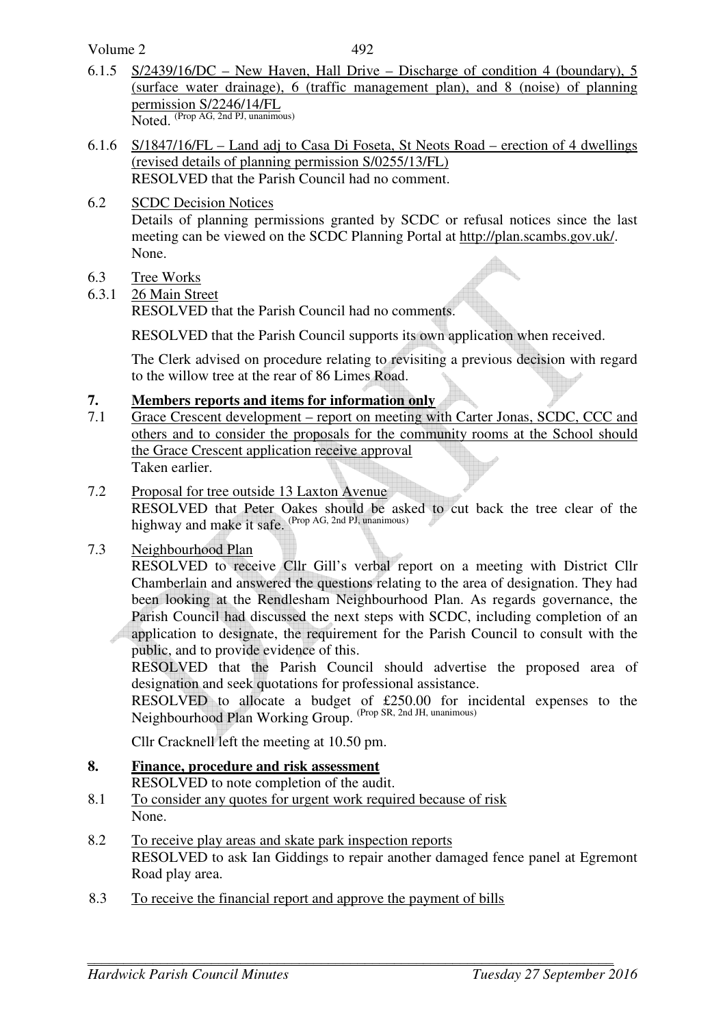Volume 2

- 6.1.5 S/2439/16/DC New Haven, Hall Drive Discharge of condition 4 (boundary), 5 (surface water drainage), 6 (traffic management plan), and 8 (noise) of planning permission S/2246/14/FL Noted. (Prop AG, 2nd PJ, unanimous)
- 6.1.6 S/1847/16/FL Land adj to Casa Di Foseta, St Neots Road erection of 4 dwellings (revised details of planning permission S/0255/13/FL) RESOLVED that the Parish Council had no comment.
- 6.2 SCDC Decision Notices

Details of planning permissions granted by SCDC or refusal notices since the last meeting can be viewed on the SCDC Planning Portal at http://plan.scambs.gov.uk/. None.

- 6.3 Tree Works
- 6.3.1 26 Main Street

RESOLVED that the Parish Council had no comments.

RESOLVED that the Parish Council supports its own application when received.

The Clerk advised on procedure relating to revisiting a previous decision with regard to the willow tree at the rear of 86 Limes Road.

## **7. Members reports and items for information only**

- 7.1 Grace Crescent development report on meeting with Carter Jonas, SCDC, CCC and others and to consider the proposals for the community rooms at the School should the Grace Crescent application receive approval Taken earlier.
- 7.2 Proposal for tree outside 13 Laxton Avenue

RESOLVED that Peter Oakes should be asked to cut back the tree clear of the highway and make it safe. (Prop AG, 2nd PJ, unanimous)

7.3 Neighbourhood Plan

RESOLVED to receive Cllr Gill's verbal report on a meeting with District Cllr Chamberlain and answered the questions relating to the area of designation. They had been looking at the Rendlesham Neighbourhood Plan. As regards governance, the Parish Council had discussed the next steps with SCDC, including completion of an application to designate, the requirement for the Parish Council to consult with the public, and to provide evidence of this.

RESOLVED that the Parish Council should advertise the proposed area of designation and seek quotations for professional assistance.

RESOLVED to allocate a budget of £250.00 for incidental expenses to the Neighbourhood Plan Working Group. (Prop SR, 2nd JH, unanimous)

Cllr Cracknell left the meeting at 10.50 pm.

**8. Finance, procedure and risk assessment**

RESOLVED to note completion of the audit.

- 8.1 To consider any quotes for urgent work required because of risk None.
- 8.2 To receive play areas and skate park inspection reports RESOLVED to ask Ian Giddings to repair another damaged fence panel at Egremont Road play area.
- 8.3 To receive the financial report and approve the payment of bills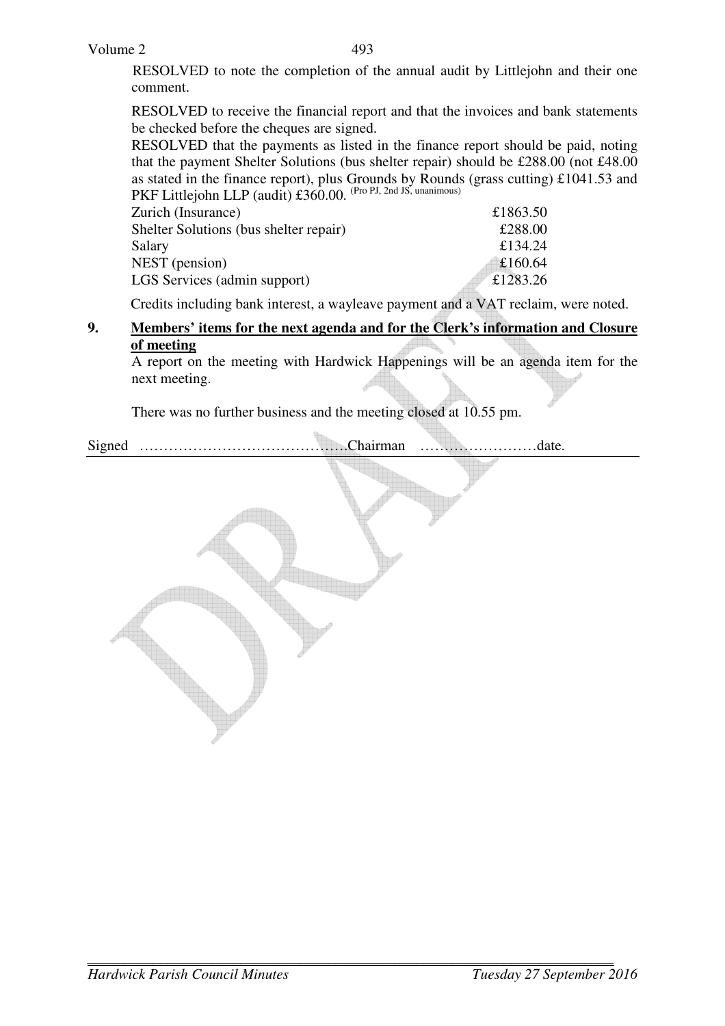RESOLVED to note the completion of the annual audit by Littlejohn and their one comment.

RESOLVED to receive the financial report and that the invoices and bank statements be checked before the cheques are signed.

RESOLVED that the payments as listed in the finance report should be paid, noting that the payment Shelter Solutions (bus shelter repair) should be £288.00 (not £48.00 as stated in the finance report), plus Grounds by Rounds (grass cutting) £1041.53 and PKF Littlejohn LLP (audit) £360.00. <sup>(Pro PJ, 2nd JS, unanimous)</sup>

| Zurich (Insurance)                     | £1863.50 |
|----------------------------------------|----------|
| Shelter Solutions (bus shelter repair) | £288.00  |
| Salary                                 | £134.24  |
| NEST (pension)                         | £160.64  |
| LGS Services (admin support)           | £1283.26 |
|                                        |          |

Credits including bank interest, a wayleave payment and a VAT reclaim, were noted.

### **9. Members' items for the next agenda and for the Clerk's information and Closure of meeting**

A report on the meeting with Hardwick Happenings will be an agenda item for the next meeting.

There was no further business and the meeting closed at 10.55 pm.

Signed …………………………………….Chairman ……………………date.